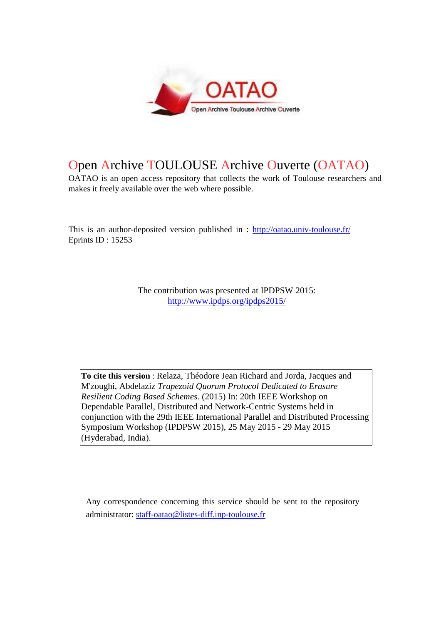

# Open Archive TOULOUSE Archive Ouverte (OATAO)

OATAO is an open access repository that collects the work of Toulouse researchers and makes it freely available over the web where possible.

This is an author-deposited version published in : http://oatao.univ-toulouse.fr/ Eprints ID : 15253

> The contribution was presented at IPDPSW 2015: http://www.ipdps.org/ipdps2015/

**To cite this version** : Relaza, Théodore Jean Richard and Jorda, Jacques and M'zoughi, Abdelaziz *Trapezoid Quorum Protocol Dedicated to Erasure Resilient Coding Based Schemes.* (2015) In: 20th IEEE Workshop on Dependable Parallel, Distributed and Network-Centric Systems held in conjunction with the 29th IEEE International Parallel and Distributed Processing Symposium Workshop (IPDPSW 2015), 25 May 2015 - 29 May 2015 (Hyderabad, India).

Any correspondence concerning this service should be sent to the repository administrator: staff-oatao@listes-diff.inp-toulouse.fr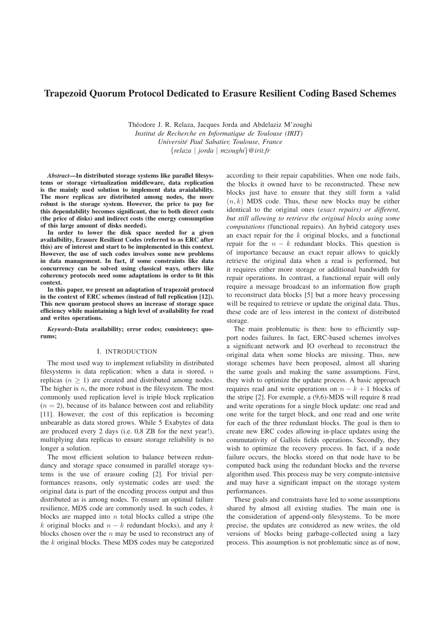## Trapezoid Quorum Protocol Dedicated to Erasure Resilient Coding Based Schemes

Théodore J. R. Relaza, Jacques Jorda and Abdelaziz M'zoughi *Institut de Recherche en Informatique de Toulouse (IRIT) Universite Paul Sabatier, Toulouse, France ´* {*relaza* | *jorda* | *mzoughi*}*@irit.fr*

*Abstract*—In distributed storage systems like parallel filesystems or storage virtualization middleware, data replication is the mainly used solution to implement data avaialability. The more replicas are distributed among nodes, the more robust is the storage system. However, the price to pay for this dependability becomes significant, due to both direct costs (the price of disks) and indirect costs (the energy consumption of this large amount of disks needed).

In order to lower the disk space needed for a given availalbility, Erasure Resilient Codes (referred to as ERC after this) are of interest and start to be implemented in this context. However, the use of such codes involves some new problems in data management. In fact, if some constraints like data concurrency can be solved using classical ways, others like coherency protocols need some adaptations in order to fit this context.

In this paper, we present an adaptation of trapezoid protocol in the context of ERC schemes (instead of full replication [12]). This new quorum protocol shows an increase of storage space efficiency while maintaining a high level of availability for read and writes operations.

*Keywords*-Data availability; error codes; consistency; quorums;

## I. INTRODUCTION

The most used way to implement reliability in distributed filesystems is data replication: when a data is stored,  $n$ replicas ( $n \geq 1$ ) are created and distributed among nodes. The higher is  $n$ , the more robust is the filesystem. The most commonly used replication level is triple block replication  $(n = 2)$ , because of its balance between cost and reliability [11]. However, the cost of this replication is becoming unbearable as data stored grows. While 5 Exabytes of data are produced every 2 days (i.e. 0,8 ZB for the next year!), multiplying data replicas to ensure storage reliability is no longer a solution.

The most efficient solution to balance between redundancy and storage space consumed in parallel storage systems is the use of erasure coding [2]. For trivial performances reasons, only systematic codes are used: the original data is part of the encoding process output and thus distributed as is among nodes. To ensure an optimal failure resilience, MDS code are commonly used. In such codes, k blocks are mapped into  $n$  total blocks called a stripe (the k original blocks and  $n - k$  redundant blocks), and any k blocks chosen over the  $n$  may be used to reconstruct any of the k original blocks. These MDS codes may be categorized

according to their repair capabilities. When one node fails, the blocks it owned have to be reconstructed. These new blocks just have to ensure that they still form a valid  $(n, k)$  MDS code. Thus, these new blocks may be either identical to the original ones (*exact repairs) or different, but still allowing to retrieve the original blocks using some computations (*functional repairs). An hybrid category uses an exact repair for the k original blocks, and a functional repair for the  $n - k$  redundant blocks. This question is of importance because an exact repair allows to quickly retrieve the original data when a read is performed, but it requires either more storage or additional bandwidth for repair operations. In contrast, a functional repair will only require a message broadcast to an information flow graph to reconstruct data blocks [5] but a more heavy processing will be required to retrieve or update the original data. Thus, these code are of less interest in the context of distributed storage.

The main problematic is then: how to efficiently support nodes failures. In fact, ERC-based schemes involves a significant network and IO overhead to reconstruct the original data when some blocks are missing. Thus, new storage schemes have been proposed, almost all sharing the same goals and making the same assumptions. First, they wish to optimize the update process. A basic approach requires read and write operations on  $n - k + 1$  blocks of the stripe [2]. For exemple, a (9,6)-MDS will require 8 read and write operations for a single block update: one read and one write for the target block, and one read and one write for each of the three redundant blocks. The goal is then to create new ERC codes allowing in-place updates using the commutativity of Gallois fields operations. Secondly, they wish to optimize the recovery process. In fact, if a node failure occurs, the blocks stored on that node have to be computed back using the redundant blocks and the reverse algorithm used. This process may be very compute-intensive and may have a significant impact on the storage system performances.

These goals and constraints have led to some assumptions shared by almost all existing studies. The main one is the consideration of append-only filesystems. To be more precise, the updates are considered as new writes, the old versions of blocks being garbage-collected using a lazy process. This assumption is not problematic since as of now,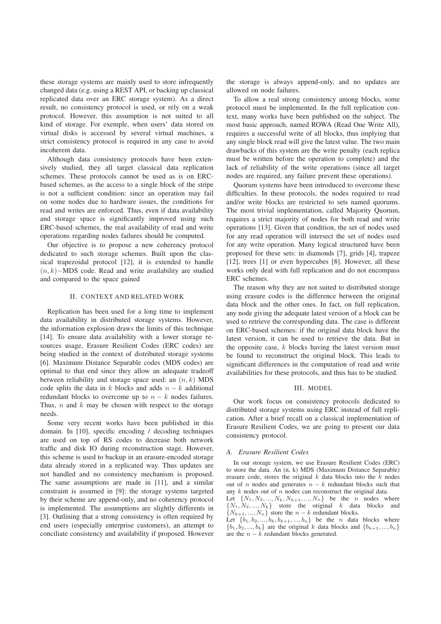these storage systems are mainly used to store infrequently changed data (e.g. using a REST API, or backing up classical replicated data over an ERC storage system). As a direct result, no consistency protocol is used, or rely on a weak protocol. However, this assumption is not suited to all kind of storage. For exemple, when users' data stored on virtual disks is accessed by several virtual machines, a strict consistency protocol is required in any case to avoid incoherent data.

Although data consistency protocols have been extensively studied, they all target classical data replication schemes. These protocols cannot be used as is on ERCbased schemes, as the access to a single block of the stripe is not a sufficient condition: since an operation may fail on some nodes due to hardware issues, the conditions for read and writes are enforced. Thus, even if data availability and storage space is significantly improved using such ERC-based schemes, the real availability of read and write operations regarding nodes failures should be computed.

Our objective is to propose a new coherency protocol dedicated to such storage schemes. Built upon the classical trapezoidal protocol [12], it is extended to handle  $(n, k)$ −MDS code. Read and write availability are studied and compared to the space gained

## II. CONTEXT AND RELATED WORK

Replication has been used for a long time to implement data availability in distributed storage systems. However, the information explosion draws the limits of this technique [14]. To ensure data availability with a lower storage resources usage, Erasure Resilient Codes (ERC codes) are being studied in the context of distributed storage systems [6]. Maximum Distance Separable codes (MDS codes) are optimal to that end since they allow an adequate tradeoff between reliability and storage space used: an  $(n, k)$  MDS code splits the data in k blocks and adds  $n - k$  additional redundant blocks to overcome up to  $n - k$  nodes failures. Thus,  $n$  and  $k$  may be chosen with respect to the storage needs.

Some very recent works have been published in this domain. In [10], specific encoding / decoding techniques are used on top of RS codes to decrease both network traffic and disk IO during reconstruction stage. However, this scheme is used to backup in an erasure-encoded storage data already stored in a replicated way. Thus updates are not handled and no consistency mechanism is proposed. The same assumptions are made in [11], and a similar constraint is assumed in [9]: the storage systems targeted by their scheme are append-only, and no coherency protocol is implemented. The assumptions are slightly differents in [3]. Outlining that a strong consistency is often required by end users (especially enterprise customers), an attempt to conciliate consistency and availability if proposed. However

the storage is always append-only, and no updates are allowed on node failures.

To allow a real strong consistency among blocks, some protocol must be implemented. In the full replication context, many works have been published on the subject. The most basic approach, named ROWA (Read One Write All), requires a successful write of all blocks, thus implying that any single block read will give the latest value. The two main drawbacks of this system are the write penalty (each replica must be written before the operation to complete) and the lack of reliability of the write operations (since all target nodes are required, any failure prevent these operations).

Quorum systems have been introduced to overcome these difficulties. In these protocols, the nodes required to read and/or write blocks are restricted to sets named quorums. The most trivial implementation, called Majority Quorum, requires a strict majority of nodes for both read and write operations [13]. Given that condition, the set of nodes used for any read operation will intersect the set of nodes used for any write operation. Many logical structured have been proposed for these sets: in diamonds [7], grids [4], trapeze [12], trees [1] or even hypercubes [8]. However, all these works only deal with full replication and do not encompass ERC schemes.

The reason why they are not suited to distributed storage using erasure codes is the difference between the original data block and the other ones. In fact, on full replication, any node giving the adequate latest version of a block can be used to retrieve the corresponding data. The case is different on ERC-based schemes: if the original data block have the latest version, it can be used to retrieve the data. But in the opposite case,  $k$  blocks having the latest version must be found to reconstruct the original block. This leads to significant differences in the computation of read and write availabilities for these protocols, and thus has to be studied.

## III. MODEL

Our work focus on consistency protocols dedicated to distributed storage systems using ERC instead of full replication. After a brief recall on a classical implementation of Erasure Resilient Codes, we are going to present our data consistency protocol.

## *A. Erasure Resilient Codes*

In our storage system, we use Erasure Resilient Codes (ERC) to store the data. An (n, k) MDS (Maximum Distance Separable) erasure code, stores the original  $k$  data blocks into the  $k$  nodes out of n nodes and generates  $n - k$  redundant blocks such that any  $k$  nodes out of  $n$  nodes can reconstruct the original data. Let  $\{N_1, N_2, ..., N_k, N_{k+1}, ..., N_n\}$  be the *n* nodes where  $\{N_1, N_2, ..., N_k\}$  store the original k data blocks and  $\{N_{k+1},..., N_n\}$  store the  $n-k$  redundant blocks. Let  $\{b_1, b_2, ..., b_k, b_{k+1}, ..., b_n\}$  be the *n* data blocks where  ${b_1, b_2, ..., b_k}$  are the original k data blocks and  ${b_{k+1}, ..., b_n}$ are the  $n - k$  redundant blocks generated.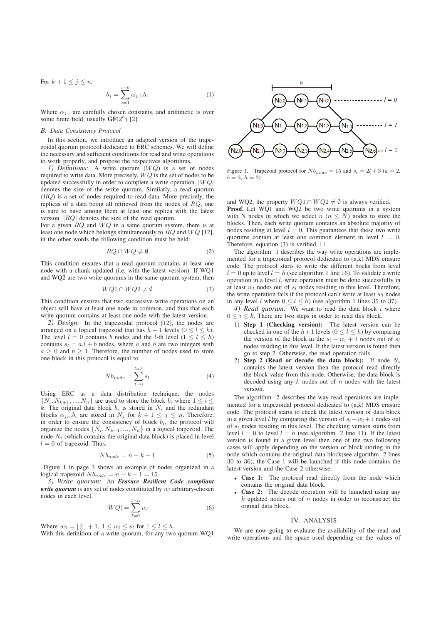For  $k + 1 \leq j \leq n$ ,  $b_j = \sum^{i=k}$  $i=1$  $\alpha_{j,i}.b_i$  (1)

Where  $\alpha_{i,i}$  are carefully chosen constants, and arithmetic is over some finite field, usually  $GF(2<sup>h</sup>)$  [2].

#### *B. Data Consistency Protocol*

In this section, we introduce an adapted version of the trapezoidal quorum protocol dedicated to ERC schemes. We will define the necessary and sufficient conditions for read and write operations to work properly, and propose the respectives algorithms.

*1) Defintions:* A write quorum (WQ) is a set of nodes required to write data. More precisely,  $WQ$  is the set of nodes to be updated successfully in order to complete a write operation.  $|WQ|$ denotes the size of the write quorum. Similarly, a read quorum  $(RQ)$  is a set of nodes required to read data. More precisely, the replicas of a data being all retrieved from the nodes of RQ, one is sure to have among them at least one replica with the latest version. |RQ| denotes the size of the read quorum.

For a given  $RQ$  and  $WQ$  in a same quorum system, there is at least one node which belongs simultaneously to  $RQ$  and  $WQ$  [12], in the other words the following condition must be held:

$$
RQ \cap WQ \neq \emptyset \tag{2}
$$

This condition ensures that a read quorum contains at least one node with a chunk updated (i.e. with the latest version). If WQ1 and WQ2 are two write quorums in the same quorum system, then

$$
WQ1 \cap WQ2 \neq \emptyset \tag{3}
$$

This condition ensures that two successive write operations on an object will have at least one node in common, and thus that each write quorum contains at least one node with the latest version.

*2) Design:* In the trapezoidal protocol [12], the nodes are arranged on a logical trapezoid that has  $h + 1$  levels  $(0 \le l \le h)$ . The level  $l = 0$  contains b nodes and the l-th level  $(1 \leq l \leq h)$ contains  $s_l = a.l + b$  nodes, where a and b are two integers with  $a \geq 0$  and  $b \geq 1$ . Therefore, the number of nodes used to store one block in this protocol is equal to

$$
Nb_{node} = \sum_{l=0}^{l=h} s_l
$$
 (4)

Using ERC as a data distribution technique, the nodes  $\{N_i, N_{k+1}, ..., N_n\}$  are used to store the block  $b_i$  where  $1 \leq i \leq$ k. The original data block  $b_i$  is stored in  $N_i$  and the redundant blocks  $\alpha_{j,i}.b_i$  are stored in  $N_j$  for  $k+1 \leq j \leq n$ . Therefore, in order to ensure the consistency of block  $b_i$ , the protocol will organize the nodes  $\{N_i, N_{k+1}, ..., N_n\}$  in a logical trapezoid. The node  $N_i$  (which contains the original data block) is placed in level  $l = 0$  of trapezoid. Thus,

$$
Nb_{node} = n - k + 1 \tag{5}
$$

Figure 1 in page 3 shows an example of nodes organized in a logical trapezoid  $Nb_{node} = n - k + 1 = 15$ .

*3) Write quorum:* An *Erasure Resilient Code compliant write quorum* is any set of nodes constituted by  $w_l$  arbitrary-chosen nodes in each level.

$$
|WQ| = \sum_{l=0}^{l=h} w_l \tag{6}
$$

Where  $w_0 = \lfloor \frac{b}{2} \rfloor + 1$ ,  $1 \le w_l \le s_l$  for  $1 \le l \le h$ .

With this definition of a write quorum, for any two quorum WQ1



Figure 1. Trapezoid protocol for  $Nb_{node} = 15$  and  $s_l = 2l + 3$  ( $a = 2$ ,  $b = 3, h = 2$ 

and WQ2, the property  $WQ1 \cap WQ2 \neq \emptyset$  is always verified. Proof. Let WQ1 and WQ2 be two write quorums in a system with N nodes in which we select  $n (n \leq N)$  nodes to store the blocks. Then, each write quorum contains an absolute majority of nodes residing at level  $l = 0$ . This guarantees that these two write quorums contain at least one common element in level  $l = 0$ . Therefore, equation (3) is verified.  $\square$ 

The algorithm 1 describes the way write operations are implemented for a trapezoidal protocol dedicated to (n,k) MDS erasure code. The protocol starts to write the different bocks from level  $l = 0$  up to level  $l = h$  (see algorithm 1 line 16). To validate a write operation in a level l, write operation must be done successfully in at least  $w_l$  nodes out of  $s_l$  nodes residing in this level. Therefore, the write operation fails if the protocol can't write at least  $w_l$  nodes in any level l where  $0 \le l \le h$ ) (see algorithm 1 lines 35 to 37).

*4) Read quorum:* We want to read the data block i where  $0 \leq i \leq k$ . There are two steps in order to read this block.

- 1) Step 1 (Checking version): The latest version can be checked in one of the  $h+1$  levels  $(0 \le l \le h)$  by comparing the version of the block in the  $s_l - w_l + 1$  nodes out of  $s_l$ nodes residing in this level. If the latest version is found then go to step 2. Otherwise, the read operation fails.
- 2) Step 2 (Read or decode the data block): If node  $N_i$ contains the latest version then the protocol read directly the block value from this node. Otherwise, the data block is decoded using any  $k$  nodes out of  $n$  nodes with the latest version.

The algorithm 2 describes the way read operations are implemented for a trapezoidal protocol dedicated to (n,k) MDS erasure code. The protocol starts to check the latest version of data block in a given level l by comparing the version of  $s_l - w_l + 1$  nodes out of  $s_l$  nodes residing in this level. The checking version starts from level  $l = 0$  to level  $l = h$  (see algorithm 2 line 11). If the latest version is found in a given level then one of the two following cases will apply depending on the version of block storing in the node which contains the original data block(see algorithm 2 lines 30 to 36), the Case 1 will be launched if this node contains the latest version and the Case 2 otherwise:

- Case 1: The protocol read directly from the node which contains the original data block.
- Case 2: The decode operation will be launched using any  $k$  updated nodes out of  $n$  nodes in order to reconstruct the orginal data block.

#### IV. ANALYSIS

We are now going to evaluate the availability of the read and write operations and the space used depending on the values of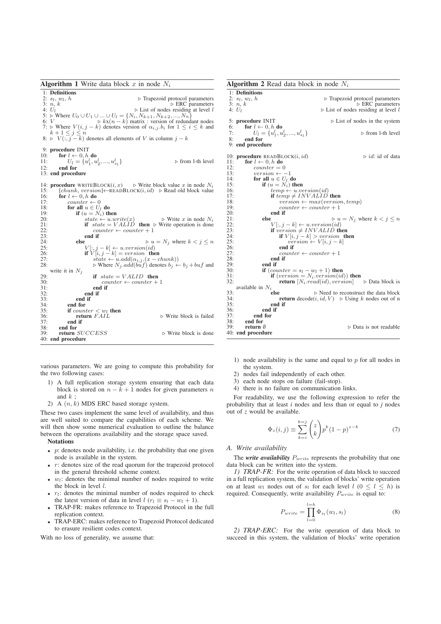**Algorithm 1** Write data block x in node  $N_i$ 1: Definitions 2:  $s_l, w_l$ ⊳ Trapezoid protocol parameters<br>⊳ ERC parameters 3: *n*, *k*<br>
4:  $U_l$ <br>
5:  $\triangleright$  Where  $U_0 \cup U_1 \cup ... \cup U_l = \{N_i, N_{k+1}, N_{k+2}, ..., N_n\}$ <br>
5:  $\triangleright$  Where  $U_0 \cup U_1 \cup ... \cup U_l = \{N_i, N_{k+1}, N_{k+2}, ..., N_n\}$ <br>
7:  $\triangleright$  Where  $V(i, j - k)$  denotes version of  $\alpha_{i,j}.b_i$  for  $1 \le i \le k$  and<br>  $k+1 \le j \$ 9: **procedure** INIT<br>10: **for**  $l \leftarrow 0, h$ 10: for  $l \leftarrow 0, h$  do<br>11:  $U_l = \{u_i^l, u_l\}$ 11:  $U_l = \{u_1^l, u_2^l, ..., u_{s_l}^l\}$ ⊳ from l-th level 12: end for 13: end procedure 14: **procedure** WRITEBLOCK $(i, x) \rightharpoonup$  Write block value x in node  $N_i$ <br>15:  $[chunk]$  version  $\lvert \lbrack \lbrack P_{EAD}R_{I}$  ock $(i, id) \rightharpoonup$  Read old block value  $[chunk, version] \leftarrow READBLOCK(i, id) \geq Real old block value$ 16: **for**  $l \leftarrow 0, h$  **do**<br>17: **counter**  $\leftarrow$ 17: counter  $\leftarrow 0$ <br>18: **for all**  $u \in U_1$ 18: for all  $u \in U_l$  do<br>19: if  $(u = N_l)$  the 19: **if**  $(u = N_i)$  then<br>20: **if**  $i$  then the  $i$  then 20:  $state \leftarrow u.write(x)$  ⊳ Write x in node  $N_i$ <br>21: **if**  $state = VALID$  **then** ⊳ Write operation is done 22:  $\frac{22}{23}$ : counter  $\leftarrow$  counter + 1  $23:$  end if  $24:$  else 24: **else**  $V[:, j - k] \leftarrow u \text{.} version(id)$ <br>
25:  $V[:, j - k] \leftarrow u \text{.} version(id)$ <br>
26: **if**  $V[i, j - k] = version$  **then**<br>
27: *state*  $\leftarrow u \text{.} add(\alpha_{i,j}) \cdot (x - chunk))$ 28:  $\triangleright$  Where  $N_j$  *add*(*buf*) denotes  $b_j \leftarrow b_j + buf$  and write it in  $N_j$ 29: **if**  $state = VALID$  then<br>30: **counter**  $\leftarrow$  counter + 30: counter  $\leftarrow$  counter + 1<br>31: **end if** 32: end if  $33:$  end if  $34:$  end for  $34:$  end for  $35:$  if  $coun$ 35: **if** counter  $\lt w_l$  **then**<br>36: **return** FAIL ⊳ Write block is failed  $37:$  end if<br> $38:$  end for  $38:$  end for  $39:$  return  $\text{return } SUCCESS$   $\triangleright$  Write block is done 40: end procedure

various parameters. We are going to compute this probability for the two following cases:

- 1) A full replication storage system ensuring that each data block is stored on  $n - k + 1$  nodes for given parameters n and  $k$ ;
- 2) A  $(n, k)$  MDS ERC based storage system.

These two cases implement the same level of availability, and thus are well suited to compare the capabilities of each scheme. We will then show some numerical evaluation to outline the balance between the operations availability and the storage space saved. Notations

- $p$ : denotes node availability, i.e. the probability that one given node is available in the system.
- $r$ : denotes size of the read quorum for the trapezoid protocol in the general threshold scheme context.
- $w_l$ : denotes the minimal number of nodes required to write the block in level l.
- $r_l$ : denotes the minimal number of nodes required to check the latest version of data in level  $l$  ( $r_l \equiv s_l - w_l + 1$ ).
- TRAP-FR: makes reference to Trapezoid Protocol in the full replication context.
- TRAP-ERC: makes reference to Trapezoid Protocol dedicated to erasure resilient codes context.

With no loss of generality, we assume that:

| <b>Algorithm 2</b> Read data block in node $N_i$ |                                                       |                                                                                                        |
|--------------------------------------------------|-------------------------------------------------------|--------------------------------------------------------------------------------------------------------|
|                                                  | 1: Definitions                                        |                                                                                                        |
|                                                  | 2: $s_l, w_l, h$                                      | $\triangleright$ Trapezoid protocol parameters                                                         |
|                                                  | 3: n, k                                               | $\triangleright$ ERC parameters                                                                        |
|                                                  | 4: $U_l$                                              | $\triangleright$ List of nodes residing at level l                                                     |
|                                                  | 5: procedure INIT                                     | $\triangleright$ List of nodes in the system                                                           |
| 6:                                               | for $l \leftarrow 0, h$ do                            |                                                                                                        |
| 7:                                               | $U_l = \{u_1^l, u_2^l, , u_{s_l}^l\}$                 | $\triangleright$ from 1-th level                                                                       |
| 8:                                               | end for                                               |                                                                                                        |
|                                                  | 9: end procedure                                      |                                                                                                        |
|                                                  |                                                       |                                                                                                        |
|                                                  | 10: <b>procedure</b> READBLOCK $(i, id)$              | $\triangleright id$ : id of data                                                                       |
| 11:                                              | for $l \leftarrow 0, h$ do                            |                                                                                                        |
| 12:                                              | $counter = 0$                                         |                                                                                                        |
| 13:<br>14:                                       | $version \leftarrow -1$<br>for all $u \in U_I$ do     |                                                                                                        |
| 15:                                              | if $(u = N_i)$ then                                   |                                                                                                        |
| 16:                                              | $temp \leftarrow u.version(id)$                       |                                                                                                        |
| 17:                                              | if $temp \neq INVALID$ then                           |                                                                                                        |
| 18:                                              | $version \leftarrow max(version, temp)$               |                                                                                                        |
| 19:                                              | $counter \leftarrow counter + 1$                      |                                                                                                        |
| 20:                                              | end if                                                |                                                                                                        |
| 21:                                              | else<br>$\triangleright u = N_j$ where $k < j \leq n$ |                                                                                                        |
| 22:                                              | $V[:, j - k] \leftarrow u.version(id)$                |                                                                                                        |
| 23:                                              | if version $\neq$ INVALID then                        |                                                                                                        |
| 24:                                              | if $V[i, j - k] > version$ then                       |                                                                                                        |
| 25:                                              | $version \leftarrow V[i, j - k]$                      |                                                                                                        |
| 26:                                              | end if                                                |                                                                                                        |
| 27:<br>28:                                       | $counter \leftarrow counter + 1$<br>end if            |                                                                                                        |
| 29:                                              | end if                                                |                                                                                                        |
| 30:                                              | if $\left( counter = s_l - w_l + 1 \right)$ then      |                                                                                                        |
| 31:                                              |                                                       | if $(version = N_i.version(id))$ then                                                                  |
| 32:                                              |                                                       | <b>return</b> $[N_i.read(id), version] \rightarrow Data block$ is                                      |
|                                                  | available in $N_i$                                    |                                                                                                        |
| 33:                                              | else                                                  | $\triangleright$ Need to reconstruct the data block                                                    |
| 34:                                              |                                                       | <b>return</b> decode( <i>i</i> , <i>id</i> , <i>V</i> ) $\triangleright$ Using <i>k</i> nodes out of n |
| 35:                                              | end if                                                |                                                                                                        |
| 36:                                              | end if                                                |                                                                                                        |
| 37:                                              | end for                                               |                                                                                                        |
| 38:                                              | end for                                               |                                                                                                        |
| 39:                                              | return $\varnothing$                                  | $\triangleright$ Data is not readable                                                                  |
|                                                  | 40: end procedure                                     |                                                                                                        |

- 1) node availability is the same and equal to  $p$  for all nodes in the system.
- 2) nodes fail independently of each other.
- 3) each node stops on failure (fail-stop).
- 4) there is no failure on communication links.

For readability, we use the following expression to refer the probability that at least *i* nodes and less than or equal to *j* nodes out of *z* would be available.

$$
\Phi_z(i,j) \equiv \sum_{k=i}^{k=j} \binom{z}{k} p^k (1-p)^{z-k} \tag{7}
$$

### *A. Write availability*

The *write availability*  $P_{write}$  represents the probability that one data block can be written into the system.

*1) TRAP-FR:* For the write operation of data block to succeed in a full replication system, the validation of blocks' write operation on at least  $w_l$  nodes out of  $s_l$  for each level  $l$   $(0 \leq l \leq h)$  is required. Consequently, write availability  $P_{write}$  is equal to:

$$
P_{write} = \prod_{l=0}^{l=h} \Phi_{s_l}(w_l, s_l)
$$
\n(8)

*2) TRAP-ERC:* For the write operation of data block to succeed in this system, the validation of blocks' write operation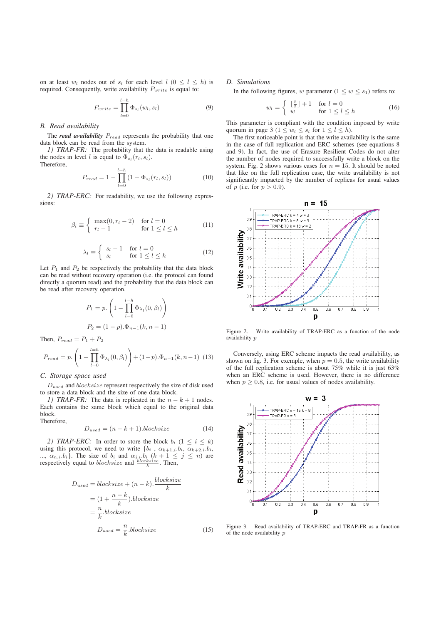on at least  $w_l$  nodes out of  $s_l$  for each level  $l$   $(0 \leq l \leq h)$  is required. Consequently, write availability  $P_{write}$  is equal to:

$$
P_{write} = \prod_{l=0}^{l=h} \Phi_{s_l}(w_l, s_l)
$$
\n(9)

## *B. Read availability*

The *read availability*  $P_{read}$  represents the probability that one data block can be read from the system.

*1) TRAP-FR:* The probability that the data is readable using the nodes in level *l* is equal to  $\Phi_{s_l}(r_l, s_l)$ . Therefore,

$$
P_{read} = 1 - \prod_{l=0}^{l=h} (1 - \Phi_{s_l}(r_l, s_l))
$$
 (10)

*2) TRAP-ERC:* For readability, we use the following expressions:

$$
\beta_l \equiv \begin{cases} \max(0, r_l - 2) & \text{for } l = 0\\ r_l - 1 & \text{for } 1 \le l \le h \end{cases}
$$
 (11)

$$
\lambda_l \equiv \begin{cases} s_l - 1 & \text{for } l = 0\\ s_l & \text{for } 1 \le l \le h \end{cases} \tag{12}
$$

Let  $P_1$  and  $P_2$  be respectively the probability that the data block can be read without recovery operation (i.e. the protocol can found directly a quorum read) and the probability that the data block can be read after recovery operation.

$$
P_1 = p. \left( 1 - \prod_{l=0}^{l=h} \Phi_{\lambda_l}(0, \beta_l) \right)
$$
  

$$
P_2 = (1-p).\Phi_{n-1}(k, n-1)
$$

Then,  $P_{read} = P_1 + P_2$ 

$$
P_{read} = p. \left( 1 - \prod_{l=0}^{l=h} \Phi_{\lambda_l}(0, \beta_l) \right) + (1 - p) . \Phi_{n-1}(k, n-1) \tag{13}
$$

## *C. Storage space used*

 $D_{used}$  and  $blocksize$  represent respectively the size of disk used to store a data block and the size of one data block.

*1) TRAP-FR:* The data is replicated in the  $n - k + 1$  nodes. Each contains the same block which equal to the original data block. Therefore,

$$
D_{used} = (n - k + 1).blocksize
$$
\n(14)

*2) TRAP-ERC:* In order to store the block  $b_i$  ( $1 \le i \le k$ ) using this protocol, we need to write  $\{b_i, \alpha_{k+1,i}, b_i, \alpha_{k+2,i}, b_i,$ ...,  $\alpha_{n,i}.b_i$ . The size of  $b_i$  and  $\alpha_{j,i}.b_i$   $(k+1 \leq j \leq n)$  are respectively equal to *blocksize* and  $\frac{blocksize}{k}$ . Then,

$$
D_{used} = blocksize + (n - k). \frac{blocksize}{k}
$$

$$
= (1 + \frac{n - k}{k}).blocksize
$$

$$
= \frac{n}{k}.blocksize
$$

$$
D_{used} = \frac{n}{k}.blocksize
$$
(15)

## *D. Simulations*

In the following figures, w parameter  $(1 \leq w \leq s_1)$  refers to:

$$
w_l = \begin{cases} \lfloor \frac{b}{2} \rfloor + 1 & \text{for } l = 0\\ w & \text{for } 1 \le l \le h \end{cases} \tag{16}
$$

This parameter is compliant with the condition imposed by write quorum in page 3 ( $1 \leq w_l \leq s_l$  for  $1 \leq l \leq h$ ).

The first noticeable point is that the write availability is the same in the case of full replication and ERC schemes (see equations 8 and 9). In fact, the use of Erasure Resilient Codes do not alter the number of nodes required to successfully write a block on the system. Fig. 2 shows various cases for  $n = 15$ . It should be noted that like on the full replication case, the write availability is not significantly impacted by the number of replicas for usual values of p (i.e. for  $p > 0.9$ ).



Figure 2. Write availability of TRAP-ERC as a function of the node availability p

Conversely, using ERC scheme impacts the read availability, as shown on fig. 3. For exemple, when  $p = 0.5$ , the write availability of the full replication scheme is about 75% while it is just 63% when an ERC scheme is used. However, there is no difference when  $p > 0.8$ , i.e. for usual values of nodes availability.



Figure 3. Read availability of TRAP-ERC and TRAP-FR as a function of the node availability p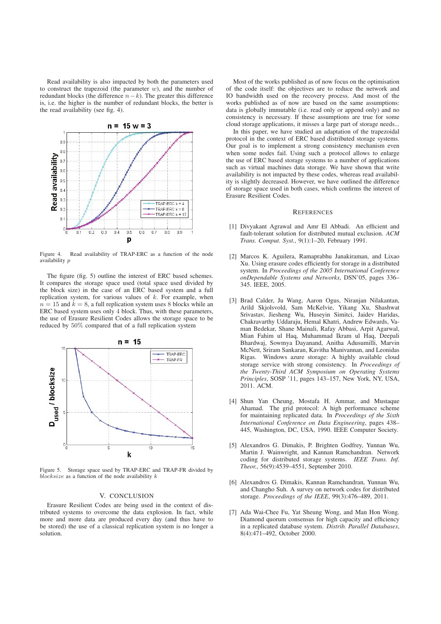Read availability is also impacted by both the parameters used to construct the trapezoid (the parameter  $w$ ), and the number of redundant blocks (the difference  $n-k$ ). The greater this difference is, i.e. the higher is the number of redundant blocks, the better is the read availability (see fig. 4).



Figure 4. Read availability of TRAP-ERC as a function of the node availability p

The figure (fig. 5) outline the interest of ERC based schemes. It compares the storage space used (total space used divided by the block size) in the case of an ERC based system and a full replication system, for various values of  $k$ . For example, when  $n = 15$  and  $k = 8$ , a full replication system uses 8 blocks while an ERC based system uses only 4 block. Thus, with these parameters, the use of Erasure Resilient Codes allows the storage space to be reduced by 50% compared that of a full replication system



Figure 5. Storage space used by TRAP-ERC and TRAP-FR divided by  $blocksize$  as a function of the node availability  $k$ 

## V. CONCLUSION

Erasure Resilient Codes are being used in the context of distributed systems to overcome the data explosion. In fact, while more and more data are produced every day (and thus have to be stored) the use of a classical replication system is no longer a solution.

Most of the works published as of now focus on the optimisation of the code itself: the objectives are to reduce the network and IO bandwidth used on the recovery process. And most of the works published as of now are based on the same assumptions: data is globally immutable (i.e. read only or append only) and no consistency is necessary. If these assumptions are true for some cloud storage applications, it misses a large part of storage needs...

In this paper, we have studied an adaptation of the trapezoidal protocol in the context of ERC based distributed storage systems. Our goal is to implement a strong consistency mechanism even when some nodes fail. Using such a protocol allows to enlarge the use of ERC based storage systems to a number of applications such as virtual machines data storage. We have shown that write availability is not impacted by these codes, whereas read availability is slightly decreased. However, we have outlined the difference of storage space used in both cases, which confirms the interest of Erasure Resilient Codes.

#### **REFERENCES**

- [1] Divyakant Agrawal and Amr El Abbadi. An efficient and fault-tolerant solution for distributed mutual exclusion. *ACM Trans. Comput. Syst.*, 9(1):1–20, February 1991.
- [2] Marcos K. Aguilera, Ramaprabhu Janakiraman, and Lixao Xu. Using erasure codes efficiently for storage in a distributed system. In *Proceedings of the 2005 International Conference onDependable Systems and Networks*, DSN'05, pages 336– 345. IEEE, 2005.
- [3] Brad Calder, Ju Wang, Aaron Ogus, Niranjan Nilakantan, Arild Skjolsvold, Sam McKelvie, Yikang Xu, Shashwat Srivastav, Jiesheng Wu, Huseyin Simitci, Jaidev Haridas, Chakravarthy Uddaraju, Hemal Khatri, Andrew Edwards, Vaman Bedekar, Shane Mainali, Rafay Abbasi, Arpit Agarwal, Mian Fahim ul Haq, Muhammad Ikram ul Haq, Deepali Bhardwaj, Sowmya Dayanand, Anitha Adusumilli, Marvin McNett, Sriram Sankaran, Kavitha Manivannan, and Leonidas Rigas. Windows azure storage: A highly available cloud storage service with strong consistency. In *Proceedings of the Twenty-Third ACM Symposium on Operating Systems Principles*, SOSP '11, pages 143–157, New York, NY, USA, 2011. ACM.
- [4] Shun Yan Cheung, Mostafa H. Ammar, and Mustaque Ahamad. The grid protocol: A high performance scheme for maintaining replicated data. In *Proceedings of the Sixth International Conference on Data Engineering*, pages 438– 445, Washington, DC, USA, 1990. IEEE Computer Society.
- [5] Alexandros G. Dimakis, P. Brighten Godfrey, Yunnan Wu, Martin J. Wainwright, and Kannan Ramchandran. Network coding for distributed storage systems. *IEEE Trans. Inf. Theor.*, 56(9):4539–4551, September 2010.
- [6] Alexandros G. Dimakis, Kannan Ramchandran, Yunnan Wu, and Changho Suh. A survey on network codes for distributed storage. *Proceedings of the IEEE*, 99(3):476–489, 2011.
- [7] Ada Wai-Chee Fu, Yat Sheung Wong, and Man Hon Wong. Diamond quorum consensus for high capacity and efficiency in a replicated database system. *Distrib. Parallel Databases*, 8(4):471–492, October 2000.